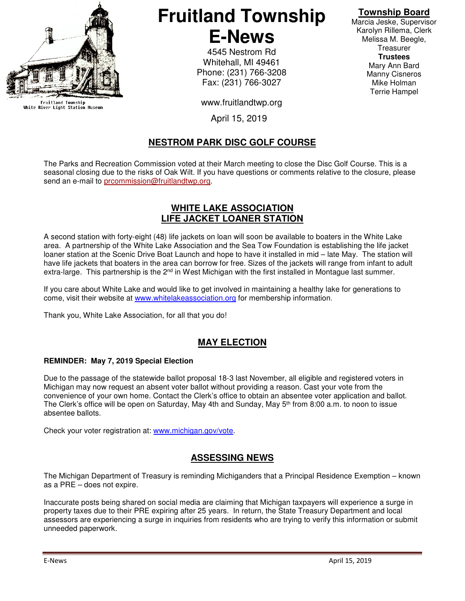

Fruitland Township<br>White River Light Station Museum

# **Fruitland Township E-News**

4545 Nestrom Rd Whitehall, MI 49461 Phone: (231) 766-3208 Fax: (231) 766-3027

www.fruitlandtwp.org

April 15, 2019

# **NESTROM PARK DISC GOLF COURSE**

The Parks and Recreation Commission voted at their March meeting to close the Disc Golf Course. This is a seasonal closing due to the risks of Oak Wilt. If you have questions or comments relative to the closure, please send an e-mail to prcommission@fruitlandtwp.org.

### **WHITE LAKE ASSOCIATION LIFE JACKET LOANER STATION**

A second station with forty-eight (48) life jackets on loan will soon be available to boaters in the White Lake area. A partnership of the White Lake Association and the Sea Tow Foundation is establishing the life jacket loaner station at the Scenic Drive Boat Launch and hope to have it installed in mid – late May. The station will have life jackets that boaters in the area can borrow for free. Sizes of the jackets will range from infant to adult extra-large. This partnership is the 2<sup>nd</sup> in West Michigan with the first installed in Montague last summer.

If you care about White Lake and would like to get involved in maintaining a healthy lake for generations to come, visit their website at www.whitelakeassociation.org for membership information.

Thank you, White Lake Association, for all that you do!

# **MAY ELECTION**

#### **REMINDER: May 7, 2019 Special Election**

Due to the passage of the statewide ballot proposal 18-3 last November, all eligible and registered voters in Michigan may now request an absent voter ballot without providing a reason. Cast your vote from the convenience of your own home. Contact the Clerk's office to obtain an absentee voter application and ballot. The Clerk's office will be open on Saturday, May 4th and Sunday, May 5th from 8:00 a.m. to noon to issue absentee ballots.

Check your voter registration at: www.michigan.gov/vote.

#### **ASSESSING NEWS**

The Michigan Department of Treasury is reminding Michiganders that a Principal Residence Exemption – known as a PRE – does not expire.

Inaccurate posts being shared on social media are claiming that Michigan taxpayers will experience a surge in property taxes due to their PRE expiring after 25 years. In return, the State Treasury Department and local assessors are experiencing a surge in inquiries from residents who are trying to verify this information or submit unneeded paperwork.

# **Township Board**

Marcia Jeske, Supervisor Karolyn Rillema, Clerk Melissa M. Beegle, **Treasurer Trustees**  Mary Ann Bard Manny Cisneros Mike Holman Terrie Hampel